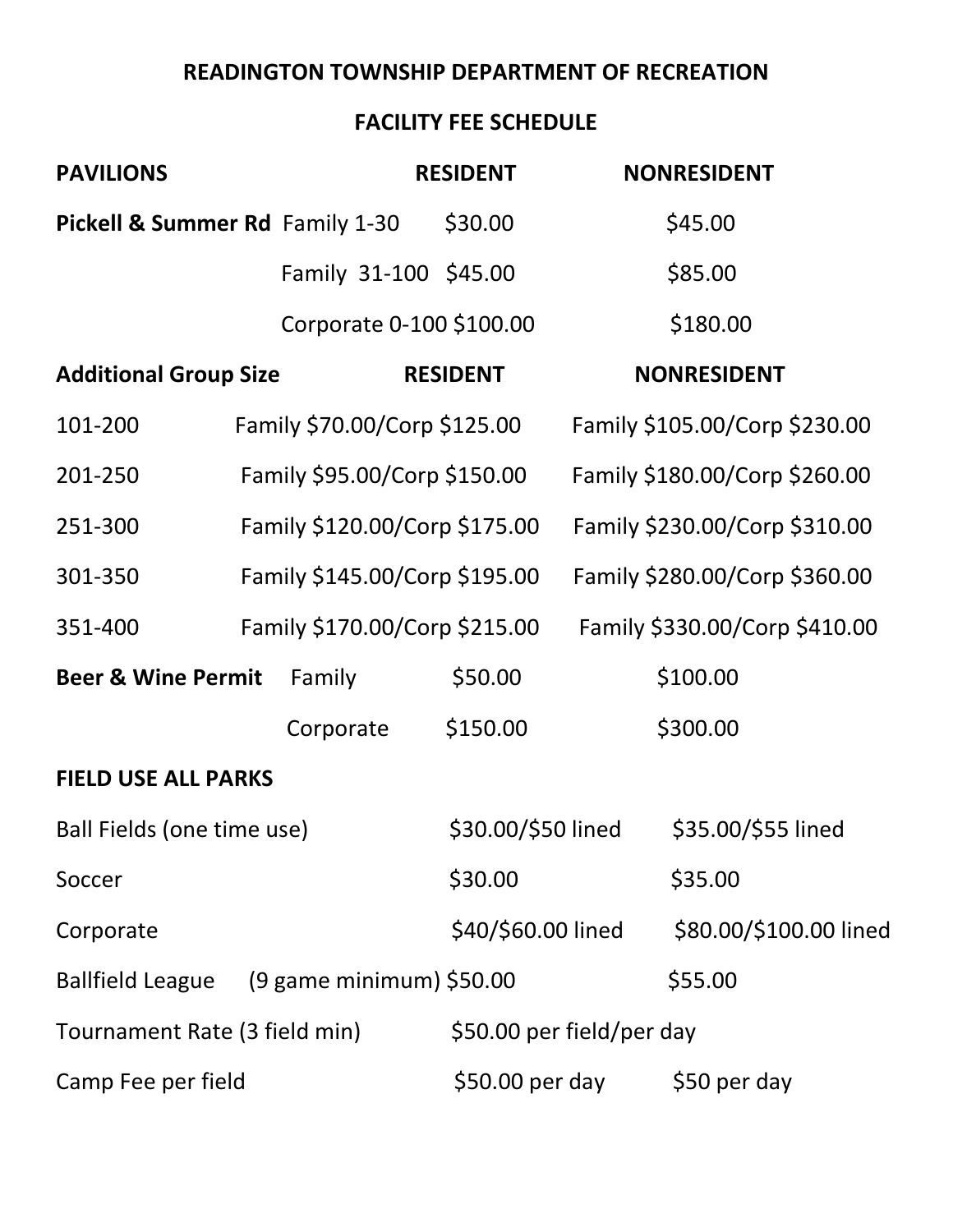## **READINGTON TOWNSHIP DEPARTMENT OF RECREATION**

#### **FACILITY FEE SCHEDULE**

| <b>PAVILIONS</b>                          |                               | <b>RESIDENT</b>          | <b>NONRESIDENT</b>        |                               |
|-------------------------------------------|-------------------------------|--------------------------|---------------------------|-------------------------------|
| Pickell & Summer Rd Family 1-30           |                               | \$30.00                  | \$45.00                   |                               |
|                                           |                               | Family 31-100 \$45.00    | \$85.00                   |                               |
|                                           |                               | Corporate 0-100 \$100.00 | \$180.00                  |                               |
| <b>Additional Group Size</b>              |                               | <b>RESIDENT</b>          | <b>NONRESIDENT</b>        |                               |
| 101-200                                   | Family \$70.00/Corp \$125.00  |                          |                           | Family \$105.00/Corp \$230.00 |
| 201-250                                   | Family \$95.00/Corp \$150.00  |                          |                           | Family \$180.00/Corp \$260.00 |
| 251-300                                   | Family \$120.00/Corp \$175.00 |                          |                           | Family \$230.00/Corp \$310.00 |
| 301-350                                   | Family \$145.00/Corp \$195.00 |                          |                           | Family \$280.00/Corp \$360.00 |
| 351-400                                   | Family \$170.00/Corp \$215.00 |                          |                           | Family \$330.00/Corp \$410.00 |
| <b>Beer &amp; Wine Permit</b>             | Family                        | \$50.00                  | \$100.00                  |                               |
|                                           | Corporate                     | \$150.00                 | \$300.00                  |                               |
| <b>FIELD USE ALL PARKS</b>                |                               |                          |                           |                               |
| Ball Fields (one time use)                |                               | \$30.00/\$50 lined       |                           | \$35.00/\$55 lined            |
| Soccer                                    |                               | \$30.00                  | \$35.00                   |                               |
| Corporate                                 |                               | \$40/\$60.00 lined       |                           | \$80.00/\$100.00 lined        |
| Ballfield League (9 game minimum) \$50.00 |                               |                          | \$55.00                   |                               |
| Tournament Rate (3 field min)             |                               |                          | \$50.00 per field/per day |                               |
| Camp Fee per field                        |                               | \$50.00 per day          |                           | \$50 per day                  |